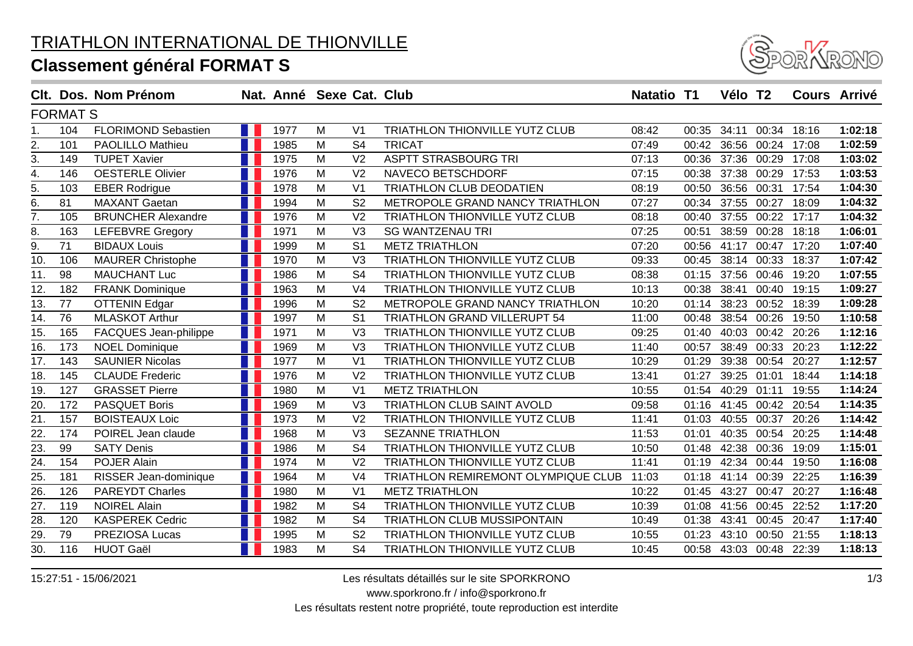## TRIATHLON INTERNATIONAL DE THIONVILLE **Classement général FORMAT S**



|                  |     | Clt. Dos. Nom Prénom       |  | Nat. Anné Sexe Cat. Club |   |                |                                       | <b>Natatio T1</b> |       | Vélo T <sub>2</sub>     |             |       | <b>Cours Arrivé</b> |
|------------------|-----|----------------------------|--|--------------------------|---|----------------|---------------------------------------|-------------------|-------|-------------------------|-------------|-------|---------------------|
| <b>FORMAT S</b>  |     |                            |  |                          |   |                |                                       |                   |       |                         |             |       |                     |
| 1.               | 104 | <b>FLORIMOND Sebastien</b> |  | 1977                     | M | V <sub>1</sub> | TRIATHLON THIONVILLE YUTZ CLUB        | 08:42             | 00:35 | 34:11                   | 00:34       | 18:16 | 1:02:18             |
| 2.               | 101 | <b>PAOLILLO Mathieu</b>    |  | 1985                     | M | S <sub>4</sub> | <b>TRICAT</b>                         | 07:49             | 00:42 | 36:56                   | 00:24       | 17:08 | 1:02:59             |
| 3.               | 149 | <b>TUPET Xavier</b>        |  | 1975                     | M | V <sub>2</sub> | <b>ASPTT STRASBOURG TRI</b>           | 07:13             | 00:36 | 37:36                   | 00:29       | 17:08 | 1:03:02             |
| 4.               | 146 | <b>OESTERLE Olivier</b>    |  | 1976                     | M | V <sub>2</sub> | NAVECO BETSCHDORF                     | 07:15             | 00:38 | 37:38                   | 00:29       | 17:53 | 1:03:53             |
| 5.               | 103 | <b>EBER Rodrigue</b>       |  | 1978                     | M | V <sub>1</sub> | TRIATHLON CLUB DEODATIEN              | 08:19             | 00:50 | 36:56                   | 00:31       | 17:54 | 1:04:30             |
| 6.               | 81  | <b>MAXANT Gaetan</b>       |  | 1994                     | M | S <sub>2</sub> | METROPOLE GRAND NANCY TRIATHLON       | 07:27             | 00:34 | 37:55                   | 00:27       | 18:09 | 1:04:32             |
| $\overline{7}$ . | 105 | <b>BRUNCHER Alexandre</b>  |  | 1976                     | M | V <sub>2</sub> | <b>TRIATHLON THIONVILLE YUTZ CLUB</b> | 08:18             | 00:40 | 37:55                   | 00:22       | 17:17 | 1:04:32             |
| 8.               | 163 | LEFEBVRE Gregory           |  | 1971                     | M | V <sub>3</sub> | <b>SG WANTZENAU TRI</b>               | 07:25             | 00:51 | 38:59                   | 00:28       | 18:18 | 1:06:01             |
| 9.               | 71  | <b>BIDAUX Louis</b>        |  | 1999                     | M | S <sub>1</sub> | <b>METZ TRIATHLON</b>                 | 07:20             | 00:56 | 41:17                   | 00:47 17:20 |       | 1:07:40             |
| 10.              | 106 | <b>MAURER Christophe</b>   |  | 1970                     | M | V <sub>3</sub> | TRIATHLON THIONVILLE YUTZ CLUB        | 09:33             | 00:45 | 38:14                   | 00:33       | 18:37 | 1:07:42             |
| 11.              | 98  | <b>MAUCHANT Luc</b>        |  | 1986                     | M | S <sub>4</sub> | TRIATHLON THIONVILLE YUTZ CLUB        | 08:38             | 01:15 | 37:56                   | 00:46       | 19:20 | 1:07:55             |
| 12.              | 182 | <b>FRANK Dominique</b>     |  | 1963                     | M | V <sub>4</sub> | <b>TRIATHLON THIONVILLE YUTZ CLUB</b> | 10:13             | 00:38 | 38:41                   | 00:40       | 19:15 | 1:09:27             |
| 13.              | 77  | <b>OTTENIN Edgar</b>       |  | 1996                     | M | S <sub>2</sub> | METROPOLE GRAND NANCY TRIATHLON       | 10:20             | 01:14 | 38:23                   | 00:52       | 18:39 | 1:09:28             |
| 14.              | 76  | <b>MLASKOT Arthur</b>      |  | 1997                     | M | S <sub>1</sub> | <b>TRIATHLON GRAND VILLERUPT 54</b>   | 11:00             | 00:48 | 38:54                   | 00:26       | 19:50 | 1:10:58             |
| 15.              | 165 | FACQUES Jean-philippe      |  | 1971                     | M | V <sub>3</sub> | <b>TRIATHLON THIONVILLE YUTZ CLUB</b> | 09:25             | 01:40 | 40:03                   | 00:42       | 20:26 | 1:12:16             |
| 16.              | 173 | <b>NOEL Dominique</b>      |  | 1969                     | M | V <sub>3</sub> | TRIATHLON THIONVILLE YUTZ CLUB        | 11:40             | 00:57 | 38:49                   | 00:33       | 20:23 | 1:12:22             |
| 17.              | 143 | <b>SAUNIER Nicolas</b>     |  | 1977                     | M | V <sub>1</sub> | TRIATHLON THIONVILLE YUTZ CLUB        | 10:29             | 01:29 | 39:38                   | 00:54       | 20:27 | 1:12:57             |
| 18.              | 145 | <b>CLAUDE Frederic</b>     |  | 1976                     | M | V <sub>2</sub> | TRIATHLON THIONVILLE YUTZ CLUB        | 13:41             | 01:27 | 39:25                   | 01:01       | 18:44 | 1:14:18             |
| 19.              | 127 | <b>GRASSET Pierre</b>      |  | 1980                     | M | V <sub>1</sub> | <b>METZ TRIATHLON</b>                 | 10:55             | 01:54 | 40:29                   | 01:11       | 19:55 | 1:14:24             |
| 20.              | 172 | <b>PASQUET Boris</b>       |  | 1969                     | M | V <sub>3</sub> | TRIATHLON CLUB SAINT AVOLD            | 09:58             | 01:16 | 41:45                   | 00:42       | 20:54 | 1:14:35             |
| $\overline{21}$  | 157 | <b>BOISTEAUX Loic</b>      |  | 1973                     | M | V <sub>2</sub> | <b>TRIATHLON THIONVILLE YUTZ CLUB</b> | 11:41             | 01:03 | 40:55                   | 00:37       | 20:26 | 1:14:42             |
| 22.              | 174 | POIREL Jean claude         |  | 1968                     | M | V <sub>3</sub> | <b>SEZANNE TRIATHLON</b>              | 11:53             | 01:01 | 40:35                   | 00:54       | 20:25 | 1:14:48             |
| 23.              | 99  | <b>SATY Denis</b>          |  | 1986                     | M | S <sub>4</sub> | TRIATHLON THIONVILLE YUTZ CLUB        | 10:50             | 01:48 | 42:38                   | 00:36       | 19:09 | 1:15:01             |
| 24.              | 154 | <b>POJER Alain</b>         |  | 1974                     | M | V <sub>2</sub> | <b>TRIATHLON THIONVILLE YUTZ CLUB</b> | 11:41             | 01:19 | 42:34                   | 00:44       | 19:50 | 1:16:08             |
| 25.              | 181 | RISSER Jean-dominique      |  | 1964                     | M | V <sub>4</sub> | TRIATHLON REMIREMONT OLYMPIQUE CLUB   | 11:03             | 01:18 | 41:14                   | 00:39       | 22:25 | 1:16:39             |
| 26.              | 126 | <b>PAREYDT Charles</b>     |  | 1980                     | M | V <sub>1</sub> | <b>METZ TRIATHLON</b>                 | 10:22             | 01:45 | 43:27                   | 00:47       | 20:27 | 1:16:48             |
| 27.              | 119 | <b>NOIREL Alain</b>        |  | 1982                     | M | S <sub>4</sub> | TRIATHLON THIONVILLE YUTZ CLUB        | 10:39             | 01:08 | 41:56                   | 00:45       | 22:52 | 1:17:20             |
| 28.              | 120 | <b>KASPEREK Cedric</b>     |  | 1982                     | M | S <sub>4</sub> | TRIATHLON CLUB MUSSIPONTAIN           | 10:49             | 01:38 | 43:41                   | 00:45       | 20:47 | 1:17:40             |
| 29.              | 79  | PREZIOSA Lucas             |  | 1995                     | M | S <sub>2</sub> | TRIATHLON THIONVILLE YUTZ CLUB        | 10:55             | 01:23 | 43:10                   | 00:50       | 21:55 | 1:18:13             |
| 30.              | 116 | <b>HUOT Gaël</b>           |  | 1983                     | M | S <sub>4</sub> | TRIATHLON THIONVILLE YUTZ CLUB        | 10:45             |       | 00:58 43:03 00:48 22:39 |             |       | 1:18:13             |

15:27:51 - 15/06/2021 Les résultats détaillés sur le site SPORKRONO

www.sporkrono.fr / info@sporkrono.fr

Les résultats restent notre propriété, toute reproduction est interdite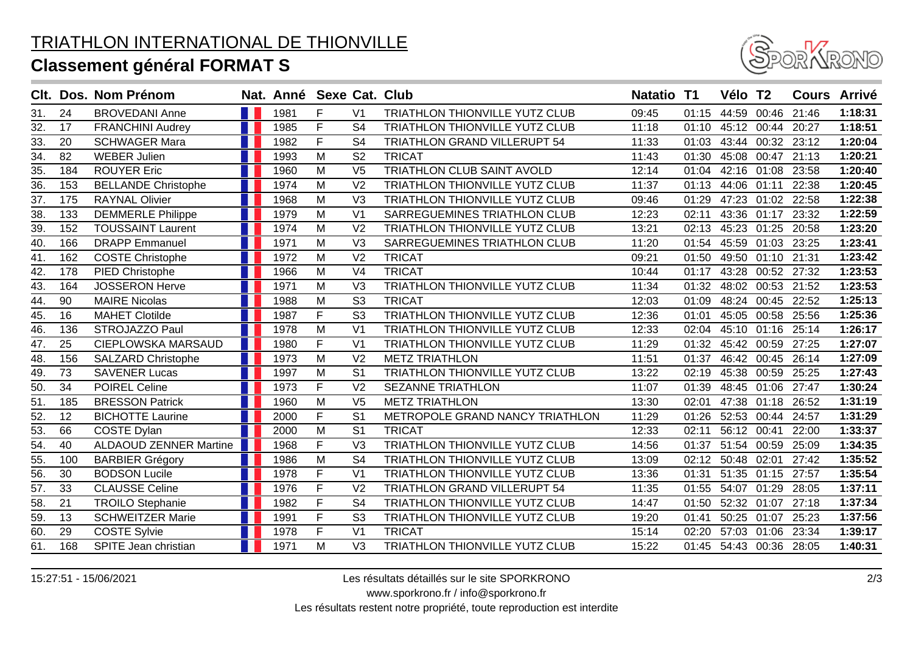

| Clt.              |     | Dos. Nom Prénom               | Nat. Anné Sexe Cat. Club |                |                          |                                       | <b>Natatio T1</b> |       | Vélo T2                 |             |       | <b>Cours Arrivé</b> |
|-------------------|-----|-------------------------------|--------------------------|----------------|--------------------------|---------------------------------------|-------------------|-------|-------------------------|-------------|-------|---------------------|
| 31.               | 24  | <b>BROVEDANI Anne</b>         | 1981                     | F              | V <sub>1</sub>           | TRIATHLON THIONVILLE YUTZ CLUB        | 09:45             | 01:15 | 44:59                   | 00:46       | 21:46 | 1:18:31             |
| 32.               | 17  | <b>FRANCHINI Audrey</b>       | 1985                     | F              | S <sub>4</sub>           | TRIATHLON THIONVILLE YUTZ CLUB        | 11:18             | 01:10 | 45:12                   | 00:44       | 20:27 | 1:18:51             |
| $\overline{33}$ . | 20  | <b>SCHWAGER Mara</b>          | 1982                     | F              | S <sub>4</sub>           | <b>TRIATHLON GRAND VILLERUPT 54</b>   | 11:33             | 01:03 | 43:44                   | 00:32 23:12 |       | 1:20:04             |
| 34.               | 82  | <b>WEBER Julien</b>           | 1993                     | M              | S <sub>2</sub>           | <b>TRICAT</b>                         | 11:43             | 01:30 | 45:08                   | 00:47       | 21:13 | 1:20:21             |
| 35.               | 184 | <b>ROUYER Eric</b>            | 1960                     | M              | V <sub>5</sub>           | TRIATHLON CLUB SAINT AVOLD            | 12:14             | 01:04 | 42:16                   | 01:08       | 23:58 | 1:20:40             |
| 36.               | 153 | <b>BELLANDE Christophe</b>    | 1974                     | M              | V <sub>2</sub>           | <b>TRIATHLON THIONVILLE YUTZ CLUB</b> | 11:37             | 01:13 | 44:06                   | 01:11       | 22:38 | 1:20:45             |
| 37.               | 175 | <b>RAYNAL Olivier</b>         | 1968                     | M              | V <sub>3</sub>           | TRIATHLON THIONVILLE YUTZ CLUB        | 09:46             | 01:29 | 47:23                   | 01:02       | 22:58 | 1:22:38             |
| 38.               | 133 | <b>DEMMERLE Philippe</b>      | 1979                     | M              | V <sub>1</sub>           | SARREGUEMINES TRIATHLON CLUB          | 12:23             | 02:11 | 43:36                   | 01:17       | 23:32 | 1:22:59             |
| 39.               | 152 | <b>TOUSSAINT Laurent</b>      | 1974                     | M              | V <sub>2</sub>           | TRIATHLON THIONVILLE YUTZ CLUB        | 13:21             | 02:13 | 45:23                   | 01:25       | 20:58 | 1:23:20             |
| $\overline{40}$ . | 166 | <b>DRAPP Emmanuel</b>         | 1971                     | M              | V <sub>3</sub>           | SARREGUEMINES TRIATHLON CLUB          | 11:20             | 01:54 | 45:59                   | 01:03       | 23:25 | 1:23:41             |
| 41.               | 162 | <b>COSTE Christophe</b>       | 1972                     | M              | V <sub>2</sub>           | <b>TRICAT</b>                         | 09:21             | 01:50 | 49:50                   | 01:10       | 21:31 | 1:23:42             |
| 42.               | 178 | PIED Christophe               | 1966                     | $\overline{M}$ | $\overline{\mathsf{V4}}$ | <b>TRICAT</b>                         | 10:44             | 01:17 | 43:28                   | 00:52       | 27:32 | 1:23:53             |
| 43.               | 164 | <b>JOSSERON Herve</b>         | 1971                     | M              | V3                       | TRIATHLON THIONVILLE YUTZ CLUB        | 11:34             | 01:32 | 48:02                   | 00:53       | 21:52 | 1:23:53             |
| 44.               | 90  | <b>MAIRE Nicolas</b>          | 1988                     | $\overline{M}$ | $\overline{\text{S3}}$   | <b>TRICAT</b>                         | 12:03             | 01:09 | 48:24                   | 00:45       | 22:52 | 1:25:13             |
| 45.               | 16  | <b>MAHET Clotilde</b>         | 1987                     | F              | S <sub>3</sub>           | TRIATHLON THIONVILLE YUTZ CLUB        | 12:36             | 01:01 | 45:05                   | 00:58       | 25:56 | 1:25:36             |
| 46.               | 136 | STROJAZZO Paul                | 1978                     | M              | V <sub>1</sub>           | TRIATHLON THIONVILLE YUTZ CLUB        | 12:33             | 02:04 | 45:10                   | 01:16       | 25:14 | 1:26:17             |
| 47.               | 25  | CIEPLOWSKA MARSAUD            | 1980                     | F              | V <sub>1</sub>           | <b>TRIATHLON THIONVILLE YUTZ CLUB</b> | 11:29             | 01:32 | 45:42                   | 00:59       | 27:25 | 1:27:07             |
| 48.               | 156 | <b>SALZARD Christophe</b>     | 1973                     | M              | V <sub>2</sub>           | <b>METZ TRIATHLON</b>                 | 11:51             | 01:37 | 46:42                   | 00:45       | 26:14 | 1:27:09             |
| 49.               | 73  | <b>SAVENER Lucas</b>          | 1997                     | M              | S <sub>1</sub>           | TRIATHLON THIONVILLE YUTZ CLUB        | 13:22             | 02:19 | 45:38                   | 00:59       | 25:25 | 1:27:43             |
| 50.               | 34  | <b>POIREL Celine</b>          | 1973                     | F              | V <sub>2</sub>           | <b>SEZANNE TRIATHLON</b>              | 11:07             | 01:39 | 48:45                   | 01:06       | 27:47 | 1:30:24             |
| $\overline{51}$   | 185 | <b>BRESSON Patrick</b>        | 1960                     | M              | V <sub>5</sub>           | <b>METZ TRIATHLON</b>                 | 13:30             | 02:01 | 47:38                   | 01:18       | 26:52 | 1:31:19             |
| 52.               | 12  | <b>BICHOTTE Laurine</b>       | 2000                     | F              | S <sub>1</sub>           | METROPOLE GRAND NANCY TRIATHLON       | 11:29             | 01:26 | 52:53                   | 00:44       | 24:57 | 1:31:29             |
| 53.               | 66  | <b>COSTE Dylan</b>            | 2000                     | M              | S <sub>1</sub>           | <b>TRICAT</b>                         | 12:33             | 02:11 | 56:12                   | 00:41       | 22:00 | 1:33:37             |
| 54.               | 40  | <b>ALDAOUD ZENNER Martine</b> | 1968                     | F              | V <sub>3</sub>           | TRIATHLON THIONVILLE YUTZ CLUB        | 14:56             | 01:37 | 51:54                   | 00:59       | 25:09 | 1:34:35             |
| 55.               | 100 | <b>BARBIER Grégory</b>        | 1986                     | M              | S <sub>4</sub>           | <b>TRIATHLON THIONVILLE YUTZ CLUB</b> | 13:09             | 02:12 | 50:48                   | 02:01       | 27:42 | 1:35:52             |
| 56.               | 30  | <b>BODSON Lucile</b>          | 1978                     | F              | V <sub>1</sub>           | TRIATHLON THIONVILLE YUTZ CLUB        | 13:36             | 01:31 | 51:35                   | 01:15       | 27:57 | 1:35:54             |
| 57.               | 33  | <b>CLAUSSE Celine</b>         | 1976                     | F              | V <sub>2</sub>           | TRIATHLON GRAND VILLERUPT 54          | 11:35             | 01:55 | 54:07                   | 01:29       | 28:05 | 1:37:11             |
| $\overline{58}$   | 21  | <b>TROILO Stephanie</b>       | 1982                     | F              | S <sub>4</sub>           | TRIATHLON THIONVILLE YUTZ CLUB        | 14:47             | 01:50 | 52:32                   | 01:07       | 27:18 | 1:37:34             |
| 59.               | 13  | <b>SCHWEITZER Marie</b>       | 1991                     | F              | S <sub>3</sub>           | TRIATHLON THIONVILLE YUTZ CLUB        | 19:20             | 01:41 | 50:25                   | 01:07       | 25:23 | 1:37:56             |
| 60.               | 29  | <b>COSTE Sylvie</b>           | 1978                     | F              | V <sub>1</sub>           | <b>TRICAT</b>                         | 15:14             | 02:20 | 57:03                   | 01:06       | 23:34 | 1:39:17             |
| 61.               | 168 | SPITE Jean christian          | 1971                     | M              | V <sub>3</sub>           | <b>TRIATHLON THIONVILLE YUTZ CLUB</b> | 15:22             |       | 01:45 54:43 00:36 28:05 |             |       | 1:40:31             |

15:27:51 - 15/06/2021 Les résultats détaillés sur le site SPORKRONO

www.sporkrono.fr / info@sporkrono.fr

Les résultats restent notre propriété, toute reproduction est interdite